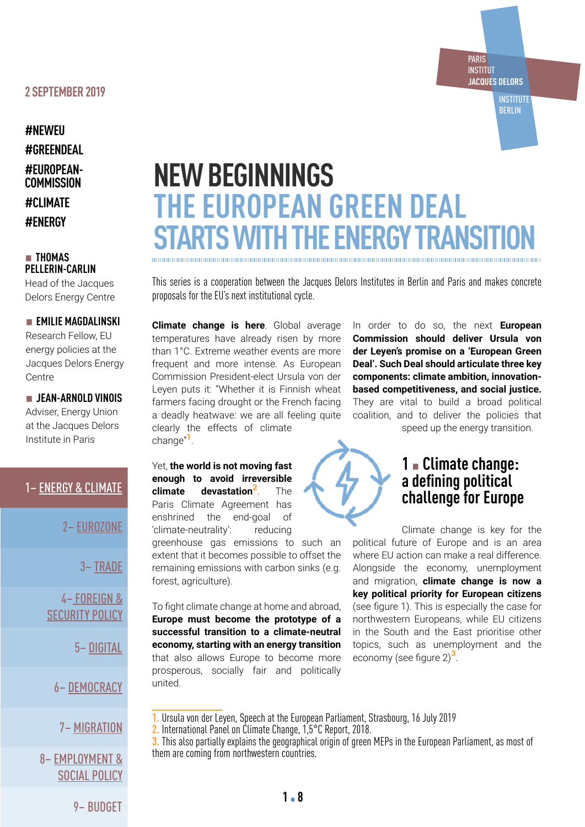#### **2 SEPTEMBER 2019**

**#NEWEU #GREENDEAL #EUROPEAN-COMMISSION #CLIMATE #ENERGY**

#### ▪ **THOMAS PELLERIN-CARLIN**

Head of the Jacques Delors Energy Centre

#### **EMILIE MAGDALINSKI** Research Fellow, EU

energy policies at the Jacques Delors Energy Centre

▪ **JEAN-ARNOLD VINOIS** Adviser, Energy Union at the Jacques Delors Institute in Paris

## 1– [ENERGY & CLIMATE](https://institutdelors.eu/publications/the-european-green-deal-starts-with-the-energy-transition/)

2– [EUROZONE](https://institutdelors.eu/publications/a-new-approach-to-eurozone-reform/)

3– [TRADE](https://institutdelors.eu/publications/a-greener-and-more-inclusive-trade-policy/)

4– [FOREIGN &](https://institutdelors.eu/publications/bolstering-eu-foreign-and-security-policy-in-times-of-contestation/)  [SECURITY POLICY](https://institutdelors.eu/publications/bolstering-eu-foreign-and-security-policy-in-times-of-contestation/)

5– [DIGITAL](https://institutdelors.eu/publications/challenges-for-eu-digital-and-innovation-policy/)

6– [DEMOCRACY](https://institutdelors.eu/publications/europeans-face-the-risk-of-democratic-regression-what-can-be-done/)

## 7– [MIGRATION](http://migration)

8– [EMPLOYMENT &](https://institutdelors.eu/publications/objective-2024-better-living-and-working-conditions-for-all-europeans/)  [SOCIAL POLICY](https://institutdelors.eu/publications/objective-2024-better-living-and-working-conditions-for-all-europeans/)

# **NEW BEGINNINGS THE EUROPEAN GREEN DEAL STARTS WITH THE ENERGY TRANSITION**

This series is a cooperation between the Jacques Delors Institutes in Berlin and Paris and makes concrete proposals for the EU's next institutional cycle.

**Climate change is here**. Global average temperatures have already risen by more than 1°C. Extreme weather events are more frequent and more intense. As European Commission President-elect Ursula von der Leyen puts it: "Whether it is Finnish wheat farmers facing drought or the French facing a deadly heatwave: we are all feeling quite clearly the effects of climate change"<sup>1</sup>.

In order to do so, the next **European Commission should deliver Ursula von der Leyen's promise on a 'European Green Deal'. Such Deal should articulate three key components: climate ambition, innovationbased competitiveness, and social justice.**  They are vital to build a broad political coalition, and to deliver the policies that speed up the energy transition.

PARIS INSTITUT **JACQUES DELORS**

> **INSTITUTE** BERLIN

Yet, **the world is not moving fast enough to avoid irreversible climate devastation**2. The Paris Climate Agreement has enshrined the end-goal of 'climate-neutrality': reducing

greenhouse gas emissions to such an extent that it becomes possible to offset the remaining emissions with carbon sinks (e.g. forest, agriculture).

To fight climate change at home and abroad, **Europe must become the prototype of a successful transition to a climate-neutral economy, starting with an energy transition** that also allows Europe to become more prosperous, socially fair and politically united.



## **1** ▪ **Climate change: a defining political challenge for Europe**

Climate change is key for the political future of Europe and is an area where EU action can make a real difference. Alongside the economy, unemployment and migration, **climate change is now a key political priority for European citizens** (see figure 1). This is especially the case for northwestern Europeans, while EU citizens in the South and the East prioritise other topics, such as unemployment and the economy (see figure  $2)^3$ .

- **1.** Ursula von der Leyen, Speech at the European Parliament, Strasbourg, 16 July 2019
- **2.** International Panel on Climate Change, 1,5°C Report, 2018.

**3.** This also partially explains the geographical origin of green MEPs in the European Parliament, as most of them are coming from northwestern countries.

9– [BUDGET](https://institutdelors.eu/publications/an-eu-budget-in-support-of-the-next-commissions-agenda/)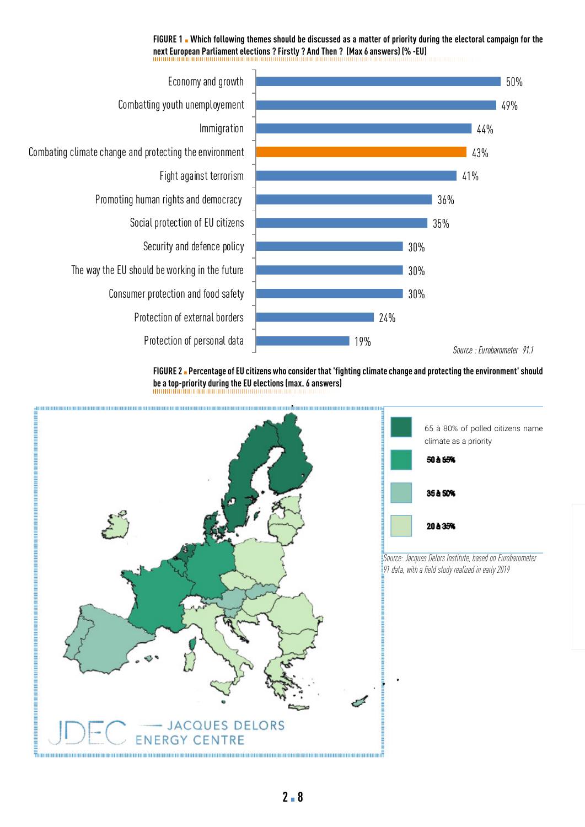## FIGURE 1 . Which following themes should be discussed as a matter of priority during the electoral campaign for the **next European Parliament elections ? Firstly ? And Then ? (Max 6 answers) (% -EU) vvvvvvvvvvvvvv 6 answers) (% -EU)**



**FIGURE 2** ▪ **Percentage of EU citizens who consider that 'fighting climate change and protecting the environment' should be a top-priority during the EU elections (max. 6 answers)**

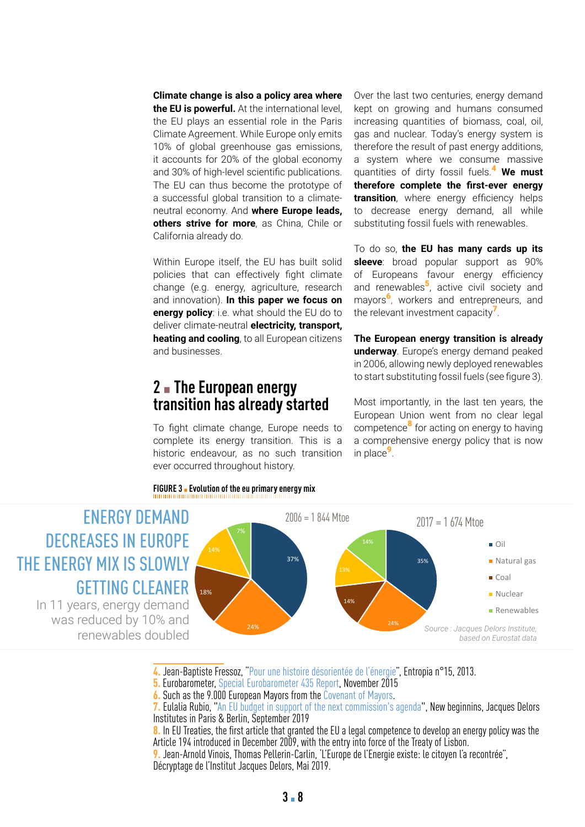**Climate change is also a policy area where the EU is powerful.** At the international level, the EU plays an essential role in the Paris Climate Agreement. While Europe only emits 10% of global greenhouse gas emissions, it accounts for 20% of the global economy and 30% of high-level scientific publications. The EU can thus become the prototype of a successful global transition to a climatea successful global transition to a climate- **transitior**<br>neutral economy. And **where Europe leads,** to decre **others strive for more**, as China, Chile or<br>California already do. California already do. t account<br>and 30% of<br>The EU c<br>a success<br>neutral ec<br>st**others st**<br>California of high-level scientific publications.<br>I an thus become the prototvpe of

Within Europe itself, the EU has built solid many Europe Reem, the EU has been condensed in the Europe Reem of Condense of Condense of Condense of Condense of Co change (e.g. energy, agriculture, research and innovation). **In this paper we focus on energy policy**: i.e. what should the EU do to deliver climate-neutral **electricity, transport, heating and cooling**, to all European citizens and businesses.

## **2** ▪ **The European energy transition has already started Greece** Change Europe<br>To fight climate change Europe

**UdilSitiuli lidS dti Cduy Stal tcu**<br>To fight climate change, Europe needs to To fight climate change, Europe needs to<br>complete its energy transition. This is a<br>bistaria andequeur as no such transition To fight climate change, Europe needs to<br>complete its energy transition. This is a<br>historic endeavour, as no such transition ever occurred throughout history. d:<br>ed<br>Du T<br>C<br>F )<br>In<br>st :<br>e<br>e lir<br>it<br>nd ne<br>Du<br>To<br>Ift าล<br>วัน ur<br>iti<br>s pp<br>n<br>cl  $\begin{array}{c}\n1 \\
T \\
t\n\end{array}$ ee<br>is<br>ar ls<br>it

**FIGURE 3** ▪ **Evolution of the eu primary energy mix**

Over the last two centuries, energy demand kept on growing and humans consumed increasing quantities of biomass, coal, oil, gas and nuclear. Today's energy system is therefore the result of past energy additions, a system where we consume massive quantities of dirty fossil fuels.<sup>4</sup> **We must therefore complete the first-ever energy transition**, where energy efficiency helps to decrease energy demand, all while substituting fossil fuels with renewables.

To do so, **the EU has many cards up its sleeve**: broad popular support as 90%<br>of Europeans favour energy efficiency of Europeans favour energy efficiency and renewables<sup>5</sup>, active civil society and methods were conducted. mayors<sup>6</sup>, workers and entrepreneurs, and the relevant investment capacity<sup>7</sup>.

The European energy transition is already underway. Europe's energy demand peaked in 2006, allowing newly deployed renewables to start substituting fossil fuels (see figure 3). **Furonean energ** 

Most importantly, in the last ten years, the European Union went from no clear legal competence<sup>8</sup> for acting on energy to having a comprehensive energy policy that is now in place $9$ . t importantly, in the last ten years, the



4. Jean-Baptiste Fressoz, "[Pour une histoire désorientée de l'énergie"](https://hal.archives-ouvertes.fr/hal-00956441/document), Entropia n°15, 2013.

4. Jean-Bapuste Fressoz, "Four the instance describitive de Cenergie"<br><mark>5.</mark> Eurobarometer, [Special Eurobarometer 435 Report](https://ec.europa.eu/clima/sites/clima/files/support/docs/report_2015_en.pdf), November 2015

**6.** Such as the 9.000 European Mayors from the Covenant of Mayors.  $\,$  - Such as the Y.UUU European Mayors from the Cov.  $\,$  7 - Fulalia Rubio . "An Ell budget in support of the ne port**, November 2015**<br>Covenant of Mayors.

**7.** Eulalia Rubio, "An EU budget in support of the next commission's agenda", New beginnins, Jacques Delors Institutes in Paris & Berlin, September 2019 next commission's agenda", New beginnins, Jacques Detors

8. In EU Treaties, the first article that granted the EU a legal competence to develop an energy policy was the Article 194 introduced in December 2009, with the entry into force of the Treaty of Lisbon. e EU a legal competence to develop an energy policy v<br>e entry into force of the Treaty of Lisbon.

**9.** Jean-Arnold Vinois, Thomas Pellerin-Carlin, 'L'Europe de l'Energie existe: le citoyen l'a recontrée", **Mitsubishi** 13% Décryptage de l'Institut Jacques Delors, Mai 2019. s Pellerin-Carlin, 'L'Europe de l'Energie existe: le citoyen l'a recontrée",<br>199 Delere, Mei 2010  $t_{\rm t}$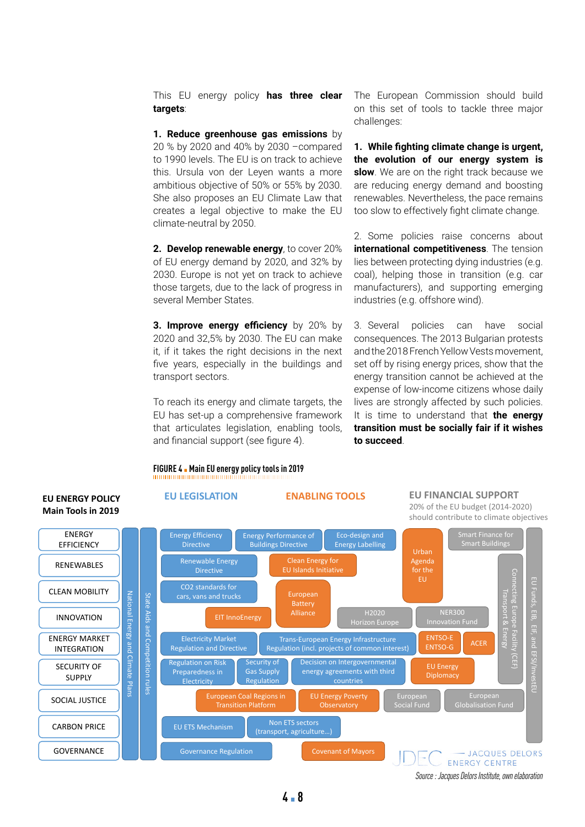This EU energy policy **has three clear targets**:

**1. Reduce greenhouse gas emissions** by 20 % by 2020 and 40% by 2030 –compared to 1990 levels. The EU is on track to achieve this. Ursula von der Leyen wants a more ambitious objective of 50% or 55% by 2030. She also proposes an EU Climate Law that creates a legal objective to make the EU climate-neutral by 2050.

**2. Develop renewable energy**, to cover 20% of EU energy demand by 2020, and 32% by 2030. Europe is not yet on track to achieve those targets, due to the lack of progress in several Member States.

**3. Improve energy efficiency** by 20% by 2020 and 32,5% by 2030. The EU can make it, if it takes the right decisions in the next five years, especially in the buildings and transport sectors.

To reach its energy and climate targets, the EU has set-up a comprehensive framework that articulates legislation, enabling tools, and financial support (see figure 4).

**FIGURE 4** ▪ **Main EU energy policy tools in 2019**

#### The European Commission should build on this set of tools to tackle three major challenges:

**1. While fighting climate change is urgent, the evolution of our energy system is slow**. We are on the right track because we are reducing energy demand and boosting renewables. Nevertheless, the pace remains too slow to effectively fight climate change.

2. Some policies raise concerns about **international competitiveness**. The tension lies between protecting dying industries (e.g. coal), helping those in transition (e.g. car manufacturers), and supporting emerging industries (e.g. offshore wind).

3. Several policies can have social consequences. The 2013 Bulgarian protests and the 2018 French Yellow Vests movement, set off by rising energy prices, show that the energy transition cannot be achieved at the expense of low-income citizens whose daily lives are strongly affected by such policies. It is time to understand that **the energy transition must be socially fair if it wishes to succeed**.

#### **EU LEGISLATION ENABLING TOOLS EU FINANCIAL SUPPORT EU ENERGY POLICY** 20% of the EU budget (2014-2020) **Main Tools in 2019** should contribute to climate objectives Smart Finance for ENERGY Eco-design and Energy Efficiency Energy Performance of Energy Labelling nnare i marree<br>Smart Building EFFICIENCY Directive Buildings Directive Urban Renewable Energy Agenda Clean Energy for RENEWABLES Directive for the Connecting Europe Facility (CEF) EU EU Funds, EIB, EIF, and EFSI/InvestEU CLEAN MOBILITY<br>
INNOVATION<br>
ENERGY MARKET<br>
INTEGRATION<br>
SECURITY OF<br>
SUPPLY<br>
CO2 standards for<br>
Cars, vans and truck<br>
Cars, vans and truck<br>
EIT Inn<br>
EIT Inn<br>
EIT Inn<br>
EIT Inn<br>
EIT Inn<br>
EIT Inn<br>
EIT Inn<br>
EIT Inn<br>
EIT Inn<br>
E European Transport & Energy EERIN MOBILITY<br>
INNOVATION<br>
NERGY MARKET<br>
NERGY MARKET<br>
SECURITY OF<br>
SECURITY OF<br>
SUPPLY<br>
SOCIAL JUSTICE<br>
GOVERNANCE<br>
GOVERNANCE<br>
GOVERNANCE<br>
CARBON PRICE<br>
COVERNANCE<br>
COVERNANCE<br>
COVERNANCE<br>
COVERNANCE<br>
COVERNANCE<br>
COVERN cars, vans and trucks State Aids and Competition rules Battery EIB, EIF, and EFSI/Invest  $\begin{array}{|c|c|c|c|c|c|}\n\hline\n\text{INNOVATION} & \frac{\text{N}}{\text{m}} & \frac{\text{N}}{\text{m}} & \frac{\text{N}}{\text{m}} & \text{EIT Innocnergy} & \text{Alliance} & \text{H2020} & \text{H2020} & \text{Inm024} & \text{Inm024} & \text{Inm024} & \text{Inm024} & \text{Inm024} & \text{Inm024} & \text{Inm024} & \text{Inm024} & \text{Inm024} & \text{Inm024} & \text{Inm024} & \$ Alliance EIT InnoEnergy **Alliance** Horizon Europe **EIT** InnoEnergy Innovation Fund ENERGY MARKET Electricity Market Trans-European Energy Infrastructure ENTSO-E ENTSO-E | ACER INTEGRATION Regulation and Directive Regulation (incl. projects of common interest) Decision on Intergovernmental Regulation on Risk Security of SECURITY OF EU Energy Gas Supply energy agreements with third Preparedness in **Diplomacy SUPPLY** Regulation **Electricity** countries SOCIAL JUSTICE SOCIAL THE SOCIAL SOCIAL SOCIAL SOCIAL Transition Platform EU Energy Poverty European **Observatory** Social Fund Globalisation Fund CARBON PRICE **Non ETS sectors** Non ETS sectors (transport, agriculture...) Covenant of Mayors - JACQUES DELORS ENERGY CENTRE

*Source : Jacques Delors Institute, own elaboration*

## **4** ▪ **8**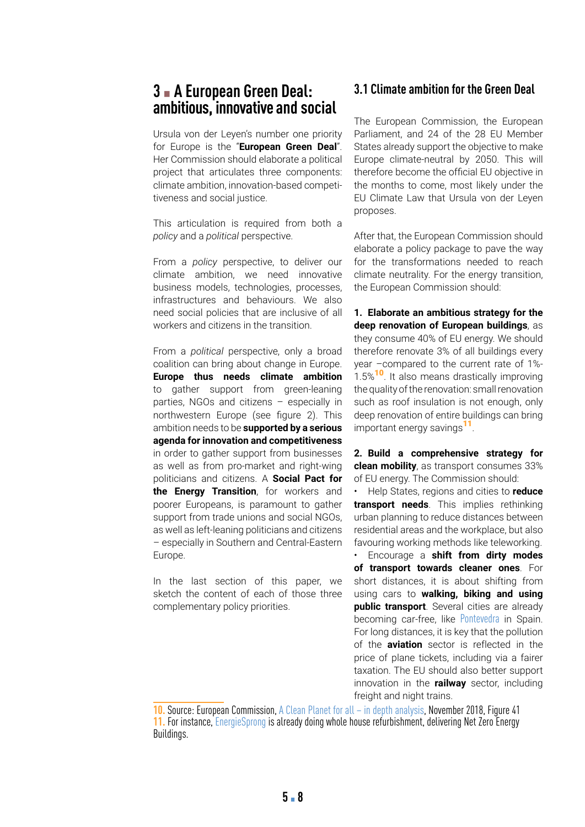## **3** ▪ **A European Green Deal: ambitious, innovative and social**

Ursula von der Leyen's number one priority for Europe is the "**European Green Deal**". Her Commission should elaborate a political project that articulates three components: climate ambition, innovation-based competitiveness and social justice.

This articulation is required from both a *policy* and a *political* perspective.

From a *policy* perspective, to deliver our climate ambition, we need innovative business models, technologies, processes, infrastructures and behaviours. We also need social policies that are inclusive of all workers and citizens in the transition.

From a *political* perspective, only a broad coalition can bring about change in Europe. **Europe thus needs climate ambition**  to gather support from green-leaning parties, NGOs and citizens – especially in northwestern Europe (see figure 2). This ambition needs to be **supported by a serious agenda for innovation and competitiveness**  in order to gather support from businesses as well as from pro-market and right-wing politicians and citizens. A **Social Pact for the Energy Transition**, for workers and poorer Europeans, is paramount to gather support from trade unions and social NGOs, as well as left-leaning politicians and citizens – especially in Southern and Central-Eastern Europe.

In the last section of this paper, we sketch the content of each of those three complementary policy priorities.

### **3.1 Climate ambition for the Green Deal**

The European Commission, the European Parliament, and 24 of the 28 EU Member States already support the objective to make Europe climate-neutral by 2050. This will therefore become the official EU objective in the months to come, most likely under the EU Climate Law that Ursula von der Leyen proposes.

After that, the European Commission should elaborate a policy package to pave the way for the transformations needed to reach climate neutrality. For the energy transition, the European Commission should:

**1. Elaborate an ambitious strategy for the deep renovation of European buildings**, as they consume 40% of EU energy. We should therefore renovate 3% of all buildings every year –compared to the current rate of 1%- 1.5%<sup>10</sup>. It also means drastically improving the quality of the renovation: small renovation such as roof insulation is not enough, only deep renovation of entire buildings can bring important energy savings<sup>11</sup>.

**2. Build a comprehensive strategy for clean mobility**, as transport consumes 33% of EU energy. The Commission should:

• Help States, regions and cities to **reduce transport needs**. This implies rethinking urban planning to reduce distances between residential areas and the workplace, but also favouring working methods like teleworking.

• Encourage a **shift from dirty modes of transport towards cleaner ones**. For short distances, it is about shifting from using cars to **walking, biking and using public transport**. Several cities are already becoming car-free, like [Pontevedra](https://www.theguardian.com/cities/2018/sep/18/paradise-life-spanish-city-banned-cars-pontevedra) in Spain. For long distances, it is key that the pollution of the **aviation** sector is reflected in the price of plane tickets, including via a fairer taxation. The EU should also better support innovation in the **railway** sector, including freight and night trains.

**10.** Source: European Commission, [A Clean Planet for all – in depth analysis,](https://ec.europa.eu/clima/sites/clima/files/docs/pages/com_2018_733_analysis_in_support_en_0.pdf) November 2018, Figure 41 **11.** For instance, [EnergieSprong](https://energiesprong.org/) is already doing whole house refurbishment, delivering Net Zero Energy Buildings.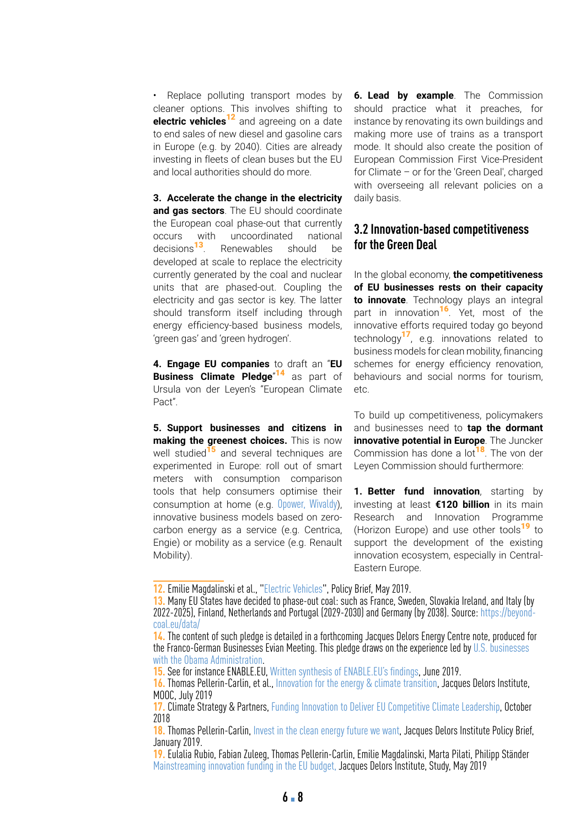• Replace polluting transport modes by cleaner options. This involves shifting to **electric vehicles**12 and agreeing on a date to end sales of new diesel and gasoline cars in Europe (e.g. by 2040). Cities are already investing in fleets of clean buses but the EU and local authorities should do more.

**3. Accelerate the change in the electricity and gas sectors**. The EU should coordinate the European coal phase-out that currently occurs with uncoordinated national decisions<sup>13</sup>. Renewables should be developed at scale to replace the electricity currently generated by the coal and nuclear units that are phased-out. Coupling the electricity and gas sector is key. The latter should transform itself including through energy efficiency-based business models, 'green gas' and 'green hydrogen'.

**4. Engage EU companies** to draft an "**EU Business Climate Pledge**" <sup>14</sup> as part of Ursula von der Leyen's "European Climate Pact".

**5. Support businesses and citizens in making the greenest choices.** This is now well studied<sup>15</sup> and several techniques are experimented in Europe: roll out of smart meters with consumption comparison tools that help consumers optimise their consumption at home (e.g. [Opower,](https://ux.opower.com/) [Wivaldy](https://www.youtube.com/watch?time_continue=487&v=L8NVNfrbVA8)), innovative business models based on zerocarbon energy as a service (e.g. Centrica, Engie) or mobility as a service (e.g. Renault Mobility).

**6. Lead by example**. The Commission should practice what it preaches, for instance by renovating its own buildings and making more use of trains as a transport mode. It should also create the position of European Commission First Vice-President for Climate – or for the 'Green Deal', charged with overseeing all relevant policies on a daily basis.

### **3.2 Innovation-based competitiveness for the Green Deal**

In the global economy, **the competitiveness of EU businesses rests on their capacity to innovate**. Technology plays an integral part in innovation<sup>16</sup>. Yet, most of the innovative efforts required today go beyond technology<sup>17</sup>, e.g. innovations related to business models for clean mobility, financing schemes for energy efficiency renovation, behaviours and social norms for tourism, etc.

To build up competitiveness, policymakers and businesses need to **tap the dormant innovative potential in Europe**. The Juncker Commission has done a lot<sup>18</sup>. The von der Leyen Commission should furthermore:

**1. Better fund innovation**, starting by investing at least **€120 billion** in its main Research and Innovation Programme (Horizon Europe) and use other tools<sup>19</sup> to support the development of the existing innovation ecosystem, especially in Central-Eastern Europe.

**<sup>12.</sup>** Emilie Magdalinski et al., "[Electric Vehicles](https://institutdelors.eu/publications/electric-vehicles-european-mobility-and-industrial-leadership-at-stake/)", Policy Brief, May 2019.

**<sup>13.</sup>** Many EU States have decided to phase-out coal: such as France, Sweden, Slovakia Ireland, and Italy (by 2022-2025), Finland, Netherlands and Portugal (2029-2030) and Germany (by 2038). Source: [https://beyond](https://beyond-coal.eu/data/)[coal.eu/data/](https://beyond-coal.eu/data/)

**<sup>14.</sup>** The content of such pledge is detailed in a forthcoming Jacques Delors Energy Centre note, produced for the Franco-German Businesses Evian Meeting. This pledge draws on the experience led by U.S. businesses with the Obama Administration.

**<sup>15.</sup>** See for instance ENABLE.EU, [Written synthesis of ENABLE.EU's findings](http://www.enable-eu.com/wp-content/uploads/2019/07/ENABLE.EU_D8.5.pdf ), June 2019.

**<sup>16.</sup>** Thomas Pellerin-Carlin, et al., [Innovation for the energy & climate transition,](https://europeanclimate.org/wp-content/uploads/2018/10/Full-report-funding-innovation.pdf) Jacques Delors Institute, MOOC, July 2019

**<sup>17.</sup>** Climate Strategy & Partners, [Funding Innovation to Deliver EU Competitive Climate Leadership,](https://europeanclimate.org/wp-content/uploads/2018/10/Full-report-funding-innovation.pdf) October 2018

**<sup>18.</sup>** Thomas Pellerin-Carlin, [Invest in the clean energy future we want,](https://institutdelors.eu/wp-content/uploads/2019/01/InvestintheCleanEnergyFutureWeWant-PellerinCarlin-January2019.pdf) Jacques Delors Institute Policy Brief, January 2019.

**<sup>19.</sup>** Eulalia Rubio, Fabian Zuleeg, Thomas Pellerin-Carlin, Emilie Magdalinski, Marta Pilati, Philipp Ständer [Mainstreaming innovation funding in the EU budget,](https://institutdelors.eu/en/publications/mainstreaming-innovation-funding-in-the-eu-budget/) Jacques Delors Institute, Study, May 2019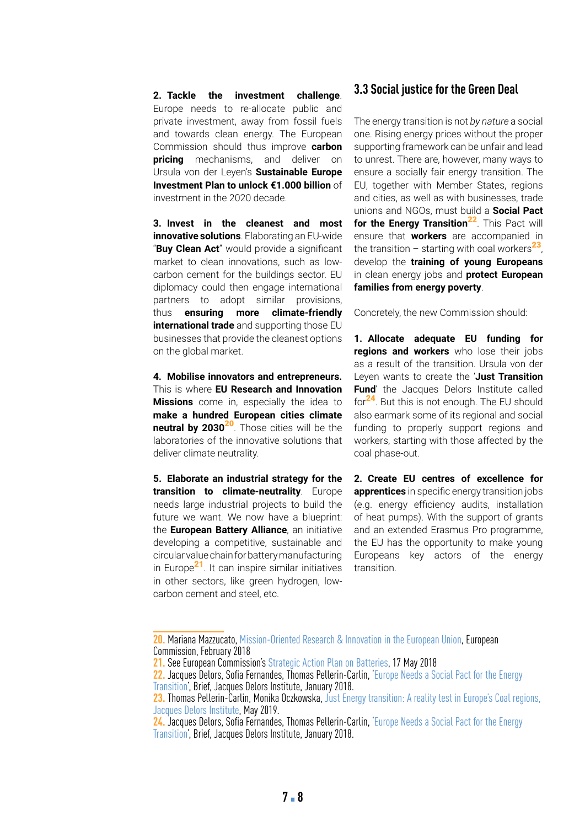**2. Tackle the investment challenge**. Europe needs to re-allocate public and private investment, away from fossil fuels and towards clean energy. The European Commission should thus improve **carbon pricing** mechanisms, and deliver on Ursula von der Leyen's **Sustainable Europe Investment Plan to unlock €1.000 billion** of investment in the 2020 decade.

**3. Invest in the cleanest and most innovative solutions**. Elaborating an EU-wide "**Buy Clean Act**" would provide a significant market to clean innovations, such as lowcarbon cement for the buildings sector. EU diplomacy could then engage international partners to adopt similar provisions, thus **ensuring more climate-friendly international trade** and supporting those EU businesses that provide the cleanest options on the global market.

**4. Mobilise innovators and entrepreneurs.** This is where **EU Research and Innovation Missions** come in, especially the idea to **make a hundred European cities climate neutral by 2030<sup>20</sup>**. Those cities will be the laboratories of the innovative solutions that deliver climate neutrality.

**5. Elaborate an industrial strategy for the transition to climate-neutrality**. Europe needs large industrial projects to build the future we want. We now have a blueprint: the **European Battery Alliance**, an initiative developing a competitive, sustainable and circular value chain for battery manufacturing in Europe<sup>21</sup>. It can inspire similar initiatives in other sectors, like green hydrogen, lowcarbon cement and steel, etc.

#### **3.3 Social justice for the Green Deal**

The energy transition is not *by nature* a social one. Rising energy prices without the proper supporting framework can be unfair and lead to unrest. There are, however, many ways to ensure a socially fair energy transition. The EU, together with Member States, regions and cities, as well as with businesses, trade unions and NGOs, must build a **Social Pact**  for the Energy Transition<sup>22</sup>. This Pact will ensure that **workers** are accompanied in the transition – starting with coal workers<sup>23</sup>, develop the **training of young Europeans** in clean energy jobs and **protect European families from energy poverty**.

Concretely, the new Commission should:

**1. Allocate adequate EU funding for regions and workers** who lose their jobs as a result of the transition. Ursula von der Leyen wants to create the '**Just Transition Fund**' the Jacques Delors Institute called for<sup>24</sup>. But this is not enough. The EU should also earmark some of its regional and social funding to properly support regions and workers, starting with those affected by the coal phase-out.

**2. Create EU centres of excellence for apprentices** in specific energy transition jobs (e.g. energy efficiency audits, installation of heat pumps). With the support of grants and an extended Erasmus Pro programme, the EU has the opportunity to make young Europeans key actors of the energy transition.

**<sup>20.</sup>** Mariana Mazzucato, [Mission-Oriented Research & Innovation in the European Union,](https://ec.europa.eu/info/sites/info/files/mazzucato_report_2018.pdf) European Commission, February 2018

**<sup>21.</sup>** See European Commission's [Strategic Action Plan on Batteries](http://eur-lex.europa.eu/resource.html?uri=cellar:0e8b694e-59b5-11e8-ab41-01aa75ed71a1.0003.02/DOC_3&format=PDF), 17 May 2018

**<sup>22.</sup>** Jacques Delors, Sofia Fernandes, Thomas Pellerin-Carlin, '[Europe Needs a Social Pact for the Energy](https://institutdelors.eu/en/publications/europe-needs-a-social-pact-for-the-energy-transition/)  [Transition'](https://institutdelors.eu/en/publications/europe-needs-a-social-pact-for-the-energy-transition/), Brief, Jacques Delors Institute, January 2018.

**<sup>23.</sup>** Thomas Pellerin-Carlin, Monika Oczkowska, [Just Energy transition: A reality test in Europe's Coal regions,](https://institutdelors.eu/en/publications/just-energy-transition-a-reality-test-in-europes-coal-regions/)  [Jacques Delors Institute](https://institutdelors.eu/en/publications/just-energy-transition-a-reality-test-in-europes-coal-regions/), May 2019.

**<sup>24.</sup>** Jacques Delors, Sofia Fernandes, Thomas Pellerin-Carlin, '[Europe Needs a Social Pact for the Energy](https://institutdelors.eu/en/publications/europe-needs-a-social-pact-for-the-energy-transition/)  [Transition'](https://institutdelors.eu/en/publications/europe-needs-a-social-pact-for-the-energy-transition/), Brief, Jacques Delors Institute, January 2018.